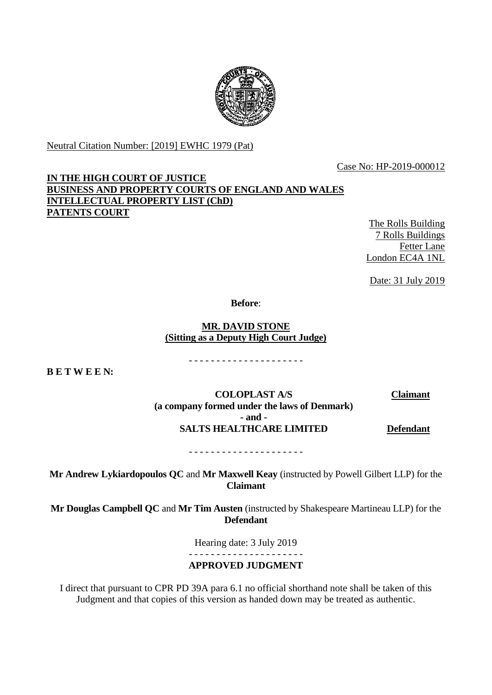

Neutral Citation Number: [2019] EWHC 1979 (Pat)

Case No: HP-2019-000012

# **IN THE HIGH COURT OF JUSTICE BUSINESS AND PROPERTY COURTS OF ENGLAND AND WALES INTELLECTUAL PROPERTY LIST (ChD) PATENTS COURT**

The Rolls Building 7 Rolls Buildings Fetter Lane London EC4A 1NL

Date: 31 July 2019

**Before**:

# **MR. DAVID STONE (Sitting as a Deputy High Court Judge)**

- - - - - - - - - - - - - - - - - - - - -

**B E T W E E N:**

**COLOPLAST A/S (a company formed under the laws of Denmark) - and - SALTS HEALTHCARE LIMITED Defendant**

**Claimant**

- - - - - - - - - - - - - - - - - - - - -

**Mr Andrew Lykiardopoulos QC** and **Mr Maxwell Keay** (instructed by Powell Gilbert LLP) for the **Claimant**

**Mr Douglas Campbell QC** and **Mr Tim Austen** (instructed by Shakespeare Martineau LLP) for the **Defendant**

> Hearing date: 3 July 2019 - - - - - - - - - - - - - - - - - - - - -

> **APPROVED JUDGMENT**

I direct that pursuant to CPR PD 39A para 6.1 no official shorthand note shall be taken of this Judgment and that copies of this version as handed down may be treated as authentic.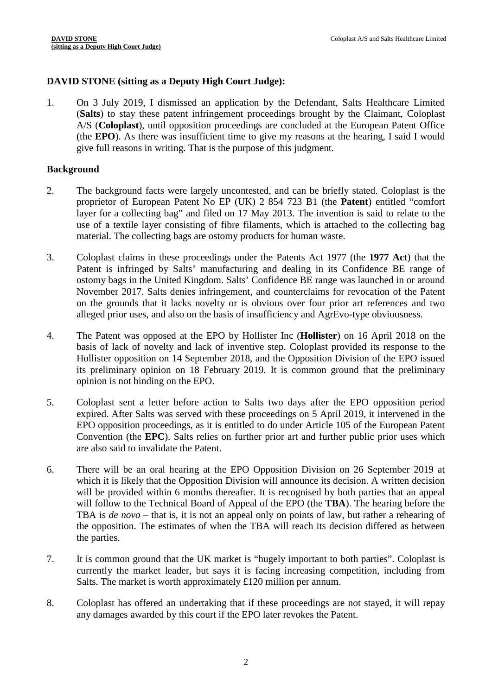# **DAVID STONE (sitting as a Deputy High Court Judge):**

1. On 3 July 2019, I dismissed an application by the Defendant, Salts Healthcare Limited (**Salts**) to stay these patent infringement proceedings brought by the Claimant, Coloplast A/S (**Coloplast**), until opposition proceedings are concluded at the European Patent Office (the **EPO**). As there was insufficient time to give my reasons at the hearing, I said I would give full reasons in writing. That is the purpose of this judgment.

### **Background**

- 2. The background facts were largely uncontested, and can be briefly stated. Coloplast is the proprietor of European Patent No EP (UK) 2 854 723 B1 (the **Patent**) entitled "comfort layer for a collecting bag" and filed on 17 May 2013. The invention is said to relate to the use of a textile layer consisting of fibre filaments, which is attached to the collecting bag material. The collecting bags are ostomy products for human waste.
- 3. Coloplast claims in these proceedings under the Patents Act 1977 (the **1977 Act**) that the Patent is infringed by Salts' manufacturing and dealing in its Confidence BE range of ostomy bags in the United Kingdom. Salts' Confidence BE range was launched in or around November 2017. Salts denies infringement, and counterclaims for revocation of the Patent on the grounds that it lacks novelty or is obvious over four prior art references and two alleged prior uses, and also on the basis of insufficiency and AgrEvo-type obviousness.
- 4. The Patent was opposed at the EPO by Hollister Inc (**Hollister**) on 16 April 2018 on the basis of lack of novelty and lack of inventive step. Coloplast provided its response to the Hollister opposition on 14 September 2018, and the Opposition Division of the EPO issued its preliminary opinion on 18 February 2019. It is common ground that the preliminary opinion is not binding on the EPO.
- 5. Coloplast sent a letter before action to Salts two days after the EPO opposition period expired. After Salts was served with these proceedings on 5 April 2019, it intervened in the EPO opposition proceedings, as it is entitled to do under Article 105 of the European Patent Convention (the **EPC**). Salts relies on further prior art and further public prior uses which are also said to invalidate the Patent.
- 6. There will be an oral hearing at the EPO Opposition Division on 26 September 2019 at which it is likely that the Opposition Division will announce its decision. A written decision will be provided within 6 months thereafter. It is recognised by both parties that an appeal will follow to the Technical Board of Appeal of the EPO (the **TBA**). The hearing before the TBA is *de novo* – that is, it is not an appeal only on points of law, but rather a rehearing of the opposition. The estimates of when the TBA will reach its decision differed as between the parties.
- 7. It is common ground that the UK market is "hugely important to both parties". Coloplast is currently the market leader, but says it is facing increasing competition, including from Salts. The market is worth approximately £120 million per annum.
- 8. Coloplast has offered an undertaking that if these proceedings are not stayed, it will repay any damages awarded by this court if the EPO later revokes the Patent.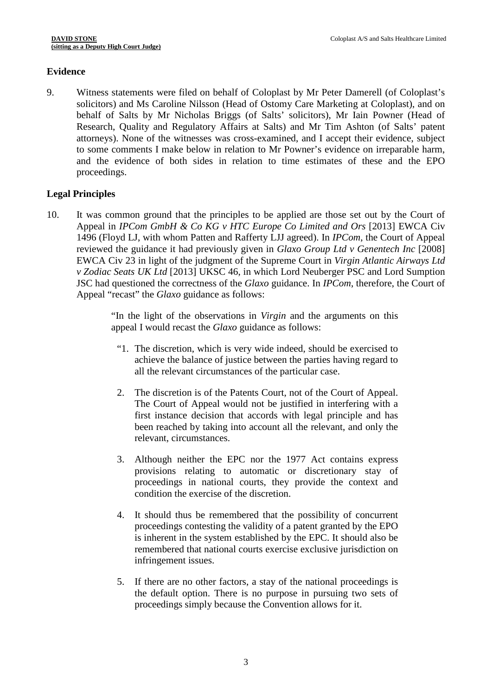## **Evidence**

9. Witness statements were filed on behalf of Coloplast by Mr Peter Damerell (of Coloplast's solicitors) and Ms Caroline Nilsson (Head of Ostomy Care Marketing at Coloplast), and on behalf of Salts by Mr Nicholas Briggs (of Salts' solicitors), Mr Iain Powner (Head of Research, Quality and Regulatory Affairs at Salts) and Mr Tim Ashton (of Salts' patent attorneys). None of the witnesses was cross-examined, and I accept their evidence, subject to some comments I make below in relation to Mr Powner's evidence on irreparable harm, and the evidence of both sides in relation to time estimates of these and the EPO proceedings.

## **Legal Principles**

10. It was common ground that the principles to be applied are those set out by the Court of Appeal in *IPCom GmbH & Co KG v HTC Europe Co Limited and Ors* [2013] EWCA Civ 1496 (Floyd LJ, with whom Patten and Rafferty LJJ agreed). In *IPCom*, the Court of Appeal reviewed the guidance it had previously given in *Glaxo Group Ltd v Genentech Inc* [2008] EWCA Civ 23 in light of the judgment of the Supreme Court in *Virgin Atlantic Airways Ltd v Zodiac Seats UK Ltd* [2013] UKSC 46, in which Lord Neuberger PSC and Lord Sumption JSC had questioned the correctness of the *Glaxo* guidance. In *IPCom*, therefore, the Court of Appeal "recast" the *Glaxo* guidance as follows:

> "In the light of the observations in *Virgin* and the arguments on this appeal I would recast the *Glaxo* guidance as follows:

- "1. The discretion, which is very wide indeed, should be exercised to achieve the balance of justice between the parties having regard to all the relevant circumstances of the particular case.
- 2. The discretion is of the Patents Court, not of the Court of Appeal. The Court of Appeal would not be justified in interfering with a first instance decision that accords with legal principle and has been reached by taking into account all the relevant, and only the relevant, circumstances.
- 3. Although neither the EPC nor the 1977 Act contains express provisions relating to automatic or discretionary stay of proceedings in national courts, they provide the context and condition the exercise of the discretion.
- 4. It should thus be remembered that the possibility of concurrent proceedings contesting the validity of a patent granted by the EPO is inherent in the system established by the EPC. It should also be remembered that national courts exercise exclusive jurisdiction on infringement issues.
- 5. If there are no other factors, a stay of the national proceedings is the default option. There is no purpose in pursuing two sets of proceedings simply because the Convention allows for it.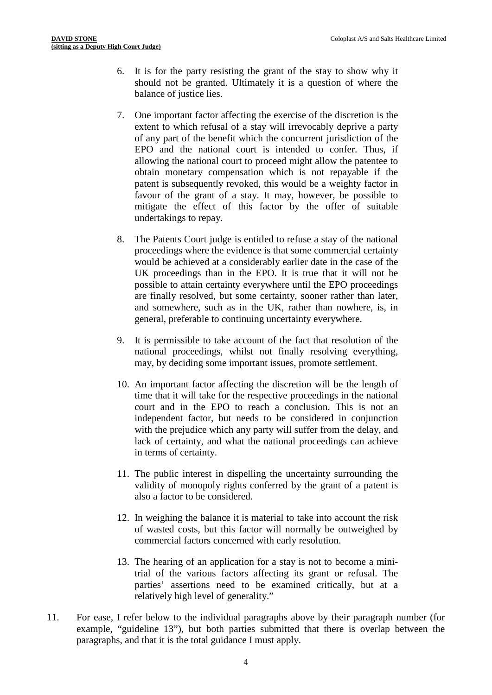- 6. It is for the party resisting the grant of the stay to show why it should not be granted. Ultimately it is a question of where the balance of justice lies.
- 7. One important factor affecting the exercise of the discretion is the extent to which refusal of a stay will irrevocably deprive a party of any part of the benefit which the concurrent jurisdiction of the EPO and the national court is intended to confer. Thus, if allowing the national court to proceed might allow the patentee to obtain monetary compensation which is not repayable if the patent is subsequently revoked, this would be a weighty factor in favour of the grant of a stay. It may, however, be possible to mitigate the effect of this factor by the offer of suitable undertakings to repay.
- 8. The Patents Court judge is entitled to refuse a stay of the national proceedings where the evidence is that some commercial certainty would be achieved at a considerably earlier date in the case of the UK proceedings than in the EPO. It is true that it will not be possible to attain certainty everywhere until the EPO proceedings are finally resolved, but some certainty, sooner rather than later, and somewhere, such as in the UK, rather than nowhere, is, in general, preferable to continuing uncertainty everywhere.
- 9. It is permissible to take account of the fact that resolution of the national proceedings, whilst not finally resolving everything, may, by deciding some important issues, promote settlement.
- 10. An important factor affecting the discretion will be the length of time that it will take for the respective proceedings in the national court and in the EPO to reach a conclusion. This is not an independent factor, but needs to be considered in conjunction with the prejudice which any party will suffer from the delay, and lack of certainty, and what the national proceedings can achieve in terms of certainty.
- 11. The public interest in dispelling the uncertainty surrounding the validity of monopoly rights conferred by the grant of a patent is also a factor to be considered.
- 12. In weighing the balance it is material to take into account the risk of wasted costs, but this factor will normally be outweighed by commercial factors concerned with early resolution.
- 13. The hearing of an application for a stay is not to become a minitrial of the various factors affecting its grant or refusal. The parties' assertions need to be examined critically, but at a relatively high level of generality."
- 11. For ease, I refer below to the individual paragraphs above by their paragraph number (for example, "guideline 13"), but both parties submitted that there is overlap between the paragraphs, and that it is the total guidance I must apply.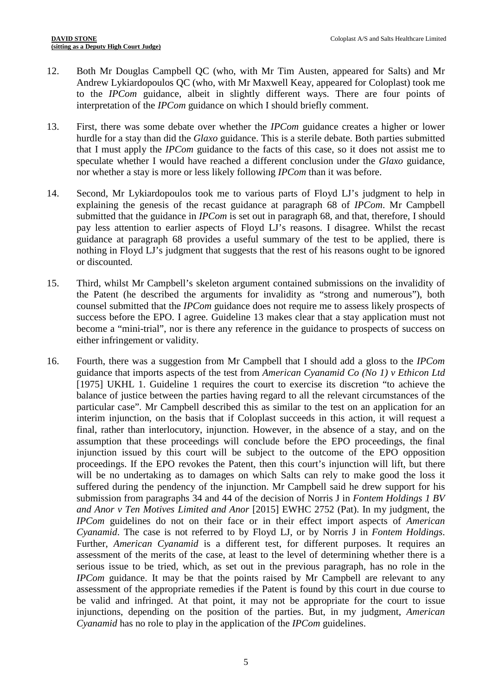- 12. Both Mr Douglas Campbell QC (who, with Mr Tim Austen, appeared for Salts) and Mr Andrew Lykiardopoulos QC (who, with Mr Maxwell Keay, appeared for Coloplast) took me to the *IPCom* guidance, albeit in slightly different ways. There are four points of interpretation of the *IPCom* guidance on which I should briefly comment.
- 13. First, there was some debate over whether the *IPCom* guidance creates a higher or lower hurdle for a stay than did the *Glaxo* guidance. This is a sterile debate. Both parties submitted that I must apply the *IPCom* guidance to the facts of this case, so it does not assist me to speculate whether I would have reached a different conclusion under the *Glaxo* guidance, nor whether a stay is more or less likely following *IPCom* than it was before.
- 14. Second, Mr Lykiardopoulos took me to various parts of Floyd LJ's judgment to help in explaining the genesis of the recast guidance at paragraph 68 of *IPCom*. Mr Campbell submitted that the guidance in *IPCom* is set out in paragraph 68, and that, therefore, I should pay less attention to earlier aspects of Floyd LJ's reasons. I disagree. Whilst the recast guidance at paragraph 68 provides a useful summary of the test to be applied, there is nothing in Floyd LJ's judgment that suggests that the rest of his reasons ought to be ignored or discounted.
- 15. Third, whilst Mr Campbell's skeleton argument contained submissions on the invalidity of the Patent (he described the arguments for invalidity as "strong and numerous"), both counsel submitted that the *IPCom* guidance does not require me to assess likely prospects of success before the EPO. I agree. Guideline 13 makes clear that a stay application must not become a "mini-trial", nor is there any reference in the guidance to prospects of success on either infringement or validity.
- 16. Fourth, there was a suggestion from Mr Campbell that I should add a gloss to the *IPCom* guidance that imports aspects of the test from *American Cyanamid Co (No 1) v Ethicon Ltd*  [1975] UKHL 1. Guideline 1 requires the court to exercise its discretion "to achieve the balance of justice between the parties having regard to all the relevant circumstances of the particular case". Mr Campbell described this as similar to the test on an application for an interim injunction, on the basis that if Coloplast succeeds in this action, it will request a final, rather than interlocutory, injunction. However, in the absence of a stay, and on the assumption that these proceedings will conclude before the EPO proceedings, the final injunction issued by this court will be subject to the outcome of the EPO opposition proceedings. If the EPO revokes the Patent, then this court's injunction will lift, but there will be no undertaking as to damages on which Salts can rely to make good the loss it suffered during the pendency of the injunction. Mr Campbell said he drew support for his submission from paragraphs 34 and 44 of the decision of Norris J in *Fontem Holdings 1 BV and Anor v Ten Motives Limited and Anor* [2015] EWHC 2752 (Pat). In my judgment, the *IPCom* guidelines do not on their face or in their effect import aspects of *American Cyanamid*. The case is not referred to by Floyd LJ, or by Norris J in *Fontem Holdings*. Further, *American Cyanamid* is a different test, for different purposes. It requires an assessment of the merits of the case, at least to the level of determining whether there is a serious issue to be tried, which, as set out in the previous paragraph, has no role in the *IPCom* guidance. It may be that the points raised by Mr Campbell are relevant to any assessment of the appropriate remedies if the Patent is found by this court in due course to be valid and infringed. At that point, it may not be appropriate for the court to issue injunctions, depending on the position of the parties. But, in my judgment, *American Cyanamid* has no role to play in the application of the *IPCom* guidelines.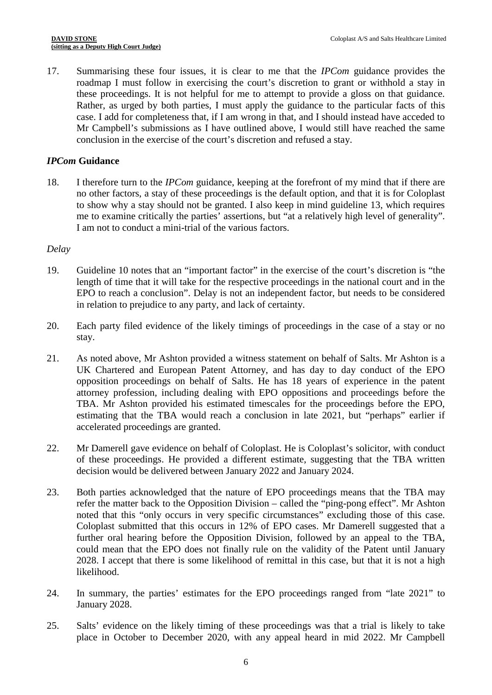17. Summarising these four issues, it is clear to me that the *IPCom* guidance provides the roadmap I must follow in exercising the court's discretion to grant or withhold a stay in these proceedings. It is not helpful for me to attempt to provide a gloss on that guidance. Rather, as urged by both parties, I must apply the guidance to the particular facts of this case. I add for completeness that, if I am wrong in that, and I should instead have acceded to Mr Campbell's submissions as I have outlined above, I would still have reached the same conclusion in the exercise of the court's discretion and refused a stay.

#### *IPCom* **Guidance**

18. I therefore turn to the *IPCom* guidance, keeping at the forefront of my mind that if there are no other factors, a stay of these proceedings is the default option, and that it is for Coloplast to show why a stay should not be granted. I also keep in mind guideline 13, which requires me to examine critically the parties' assertions, but "at a relatively high level of generality". I am not to conduct a mini-trial of the various factors.

#### *Delay*

- 19. Guideline 10 notes that an "important factor" in the exercise of the court's discretion is "the length of time that it will take for the respective proceedings in the national court and in the EPO to reach a conclusion". Delay is not an independent factor, but needs to be considered in relation to prejudice to any party, and lack of certainty.
- 20. Each party filed evidence of the likely timings of proceedings in the case of a stay or no stay.
- 21. As noted above, Mr Ashton provided a witness statement on behalf of Salts. Mr Ashton is a UK Chartered and European Patent Attorney, and has day to day conduct of the EPO opposition proceedings on behalf of Salts. He has 18 years of experience in the patent attorney profession, including dealing with EPO oppositions and proceedings before the TBA. Mr Ashton provided his estimated timescales for the proceedings before the EPO, estimating that the TBA would reach a conclusion in late 2021, but "perhaps" earlier if accelerated proceedings are granted.
- 22. Mr Damerell gave evidence on behalf of Coloplast. He is Coloplast's solicitor, with conduct of these proceedings. He provided a different estimate, suggesting that the TBA written decision would be delivered between January 2022 and January 2024.
- 23. Both parties acknowledged that the nature of EPO proceedings means that the TBA may refer the matter back to the Opposition Division – called the "ping-pong effect". Mr Ashton noted that this "only occurs in very specific circumstances" excluding those of this case. Coloplast submitted that this occurs in 12% of EPO cases. Mr Damerell suggested that a further oral hearing before the Opposition Division, followed by an appeal to the TBA, could mean that the EPO does not finally rule on the validity of the Patent until January 2028. I accept that there is some likelihood of remittal in this case, but that it is not a high likelihood.
- 24. In summary, the parties' estimates for the EPO proceedings ranged from "late 2021" to January 2028.
- 25. Salts' evidence on the likely timing of these proceedings was that a trial is likely to take place in October to December 2020, with any appeal heard in mid 2022. Mr Campbell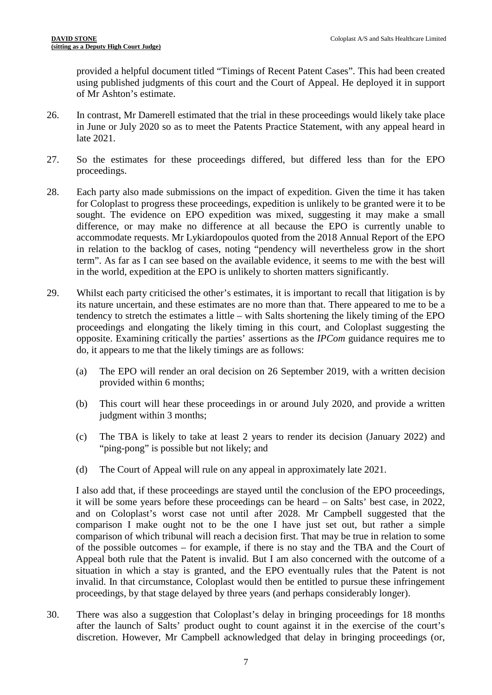provided a helpful document titled "Timings of Recent Patent Cases". This had been created using published judgments of this court and the Court of Appeal. He deployed it in support of Mr Ashton's estimate.

- 26. In contrast, Mr Damerell estimated that the trial in these proceedings would likely take place in June or July 2020 so as to meet the Patents Practice Statement, with any appeal heard in late 2021.
- 27. So the estimates for these proceedings differed, but differed less than for the EPO proceedings.
- 28. Each party also made submissions on the impact of expedition. Given the time it has taken for Coloplast to progress these proceedings, expedition is unlikely to be granted were it to be sought. The evidence on EPO expedition was mixed, suggesting it may make a small difference, or may make no difference at all because the EPO is currently unable to accommodate requests. Mr Lykiardopoulos quoted from the 2018 Annual Report of the EPO in relation to the backlog of cases, noting "pendency will nevertheless grow in the short term". As far as I can see based on the available evidence, it seems to me with the best will in the world, expedition at the EPO is unlikely to shorten matters significantly.
- 29. Whilst each party criticised the other's estimates, it is important to recall that litigation is by its nature uncertain, and these estimates are no more than that. There appeared to me to be a tendency to stretch the estimates a little – with Salts shortening the likely timing of the EPO proceedings and elongating the likely timing in this court, and Coloplast suggesting the opposite. Examining critically the parties' assertions as the *IPCom* guidance requires me to do, it appears to me that the likely timings are as follows:
	- (a) The EPO will render an oral decision on 26 September 2019, with a written decision provided within 6 months;
	- (b) This court will hear these proceedings in or around July 2020, and provide a written judgment within 3 months;
	- (c) The TBA is likely to take at least 2 years to render its decision (January 2022) and "ping-pong" is possible but not likely; and
	- (d) The Court of Appeal will rule on any appeal in approximately late 2021.

I also add that, if these proceedings are stayed until the conclusion of the EPO proceedings, it will be some years before these proceedings can be heard – on Salts' best case, in 2022, and on Coloplast's worst case not until after 2028. Mr Campbell suggested that the comparison I make ought not to be the one I have just set out, but rather a simple comparison of which tribunal will reach a decision first. That may be true in relation to some of the possible outcomes – for example, if there is no stay and the TBA and the Court of Appeal both rule that the Patent is invalid. But I am also concerned with the outcome of a situation in which a stay is granted, and the EPO eventually rules that the Patent is not invalid. In that circumstance, Coloplast would then be entitled to pursue these infringement proceedings, by that stage delayed by three years (and perhaps considerably longer).

30. There was also a suggestion that Coloplast's delay in bringing proceedings for 18 months after the launch of Salts' product ought to count against it in the exercise of the court's discretion. However, Mr Campbell acknowledged that delay in bringing proceedings (or,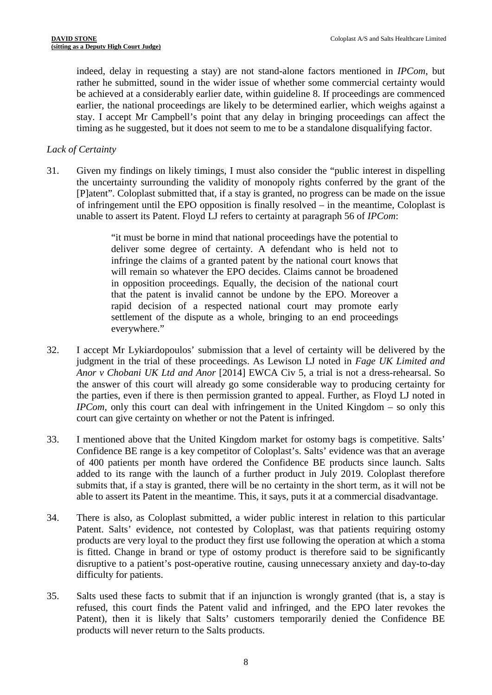indeed, delay in requesting a stay) are not stand-alone factors mentioned in *IPCom*, but rather he submitted, sound in the wider issue of whether some commercial certainty would be achieved at a considerably earlier date, within guideline 8. If proceedings are commenced earlier, the national proceedings are likely to be determined earlier, which weighs against a stay. I accept Mr Campbell's point that any delay in bringing proceedings can affect the timing as he suggested, but it does not seem to me to be a standalone disqualifying factor.

### *Lack of Certainty*

31. Given my findings on likely timings, I must also consider the "public interest in dispelling the uncertainty surrounding the validity of monopoly rights conferred by the grant of the [P]atent". Coloplast submitted that, if a stay is granted, no progress can be made on the issue of infringement until the EPO opposition is finally resolved – in the meantime, Coloplast is unable to assert its Patent. Floyd LJ refers to certainty at paragraph 56 of *IPCom*:

> "it must be borne in mind that national proceedings have the potential to deliver some degree of certainty. A defendant who is held not to infringe the claims of a granted patent by the national court knows that will remain so whatever the EPO decides. Claims cannot be broadened in opposition proceedings. Equally, the decision of the national court that the patent is invalid cannot be undone by the EPO. Moreover a rapid decision of a respected national court may promote early settlement of the dispute as a whole, bringing to an end proceedings everywhere."

- 32. I accept Mr Lykiardopoulos' submission that a level of certainty will be delivered by the judgment in the trial of these proceedings. As Lewison LJ noted in *Fage UK Limited and Anor v Chobani UK Ltd and Anor* [2014] EWCA Civ 5, a trial is not a dress-rehearsal. So the answer of this court will already go some considerable way to producing certainty for the parties, even if there is then permission granted to appeal. Further, as Floyd LJ noted in *IPCom*, only this court can deal with infringement in the United Kingdom – so only this court can give certainty on whether or not the Patent is infringed.
- 33. I mentioned above that the United Kingdom market for ostomy bags is competitive. Salts' Confidence BE range is a key competitor of Coloplast's. Salts' evidence was that an average of 400 patients per month have ordered the Confidence BE products since launch. Salts added to its range with the launch of a further product in July 2019. Coloplast therefore submits that, if a stay is granted, there will be no certainty in the short term, as it will not be able to assert its Patent in the meantime. This, it says, puts it at a commercial disadvantage.
- 34. There is also, as Coloplast submitted, a wider public interest in relation to this particular Patent. Salts' evidence, not contested by Coloplast, was that patients requiring ostomy products are very loyal to the product they first use following the operation at which a stoma is fitted. Change in brand or type of ostomy product is therefore said to be significantly disruptive to a patient's post-operative routine, causing unnecessary anxiety and day-to-day difficulty for patients.
- 35. Salts used these facts to submit that if an injunction is wrongly granted (that is, a stay is refused, this court finds the Patent valid and infringed, and the EPO later revokes the Patent), then it is likely that Salts' customers temporarily denied the Confidence BE products will never return to the Salts products.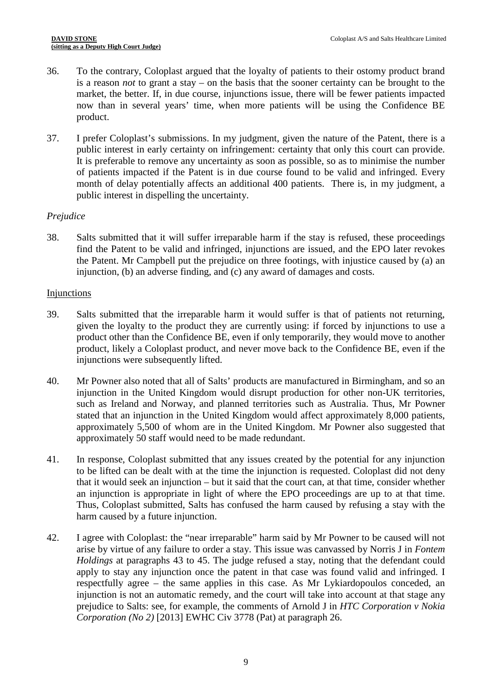- 36. To the contrary, Coloplast argued that the loyalty of patients to their ostomy product brand is a reason *not* to grant a stay – on the basis that the sooner certainty can be brought to the market, the better. If, in due course, injunctions issue, there will be fewer patients impacted now than in several years' time, when more patients will be using the Confidence BE product.
- 37. I prefer Coloplast's submissions. In my judgment, given the nature of the Patent, there is a public interest in early certainty on infringement: certainty that only this court can provide. It is preferable to remove any uncertainty as soon as possible, so as to minimise the number of patients impacted if the Patent is in due course found to be valid and infringed. Every month of delay potentially affects an additional 400 patients. There is, in my judgment, a public interest in dispelling the uncertainty.

### *Prejudice*

38. Salts submitted that it will suffer irreparable harm if the stay is refused, these proceedings find the Patent to be valid and infringed, injunctions are issued, and the EPO later revokes the Patent. Mr Campbell put the prejudice on three footings, with injustice caused by (a) an injunction, (b) an adverse finding, and (c) any award of damages and costs.

#### Injunctions

- 39. Salts submitted that the irreparable harm it would suffer is that of patients not returning, given the loyalty to the product they are currently using: if forced by injunctions to use a product other than the Confidence BE, even if only temporarily, they would move to another product, likely a Coloplast product, and never move back to the Confidence BE, even if the injunctions were subsequently lifted.
- 40. Mr Powner also noted that all of Salts' products are manufactured in Birmingham, and so an injunction in the United Kingdom would disrupt production for other non-UK territories, such as Ireland and Norway, and planned territories such as Australia. Thus, Mr Powner stated that an injunction in the United Kingdom would affect approximately 8,000 patients, approximately 5,500 of whom are in the United Kingdom. Mr Powner also suggested that approximately 50 staff would need to be made redundant.
- 41. In response, Coloplast submitted that any issues created by the potential for any injunction to be lifted can be dealt with at the time the injunction is requested. Coloplast did not deny that it would seek an injunction – but it said that the court can, at that time, consider whether an injunction is appropriate in light of where the EPO proceedings are up to at that time. Thus, Coloplast submitted, Salts has confused the harm caused by refusing a stay with the harm caused by a future injunction.
- 42. I agree with Coloplast: the "near irreparable" harm said by Mr Powner to be caused will not arise by virtue of any failure to order a stay. This issue was canvassed by Norris J in *Fontem Holdings* at paragraphs 43 to 45. The judge refused a stay, noting that the defendant could apply to stay any injunction once the patent in that case was found valid and infringed. I respectfully agree – the same applies in this case. As Mr Lykiardopoulos conceded, an injunction is not an automatic remedy, and the court will take into account at that stage any prejudice to Salts: see, for example, the comments of Arnold J in *HTC Corporation v Nokia Corporation (No 2)* [2013] EWHC Civ 3778 (Pat) at paragraph 26.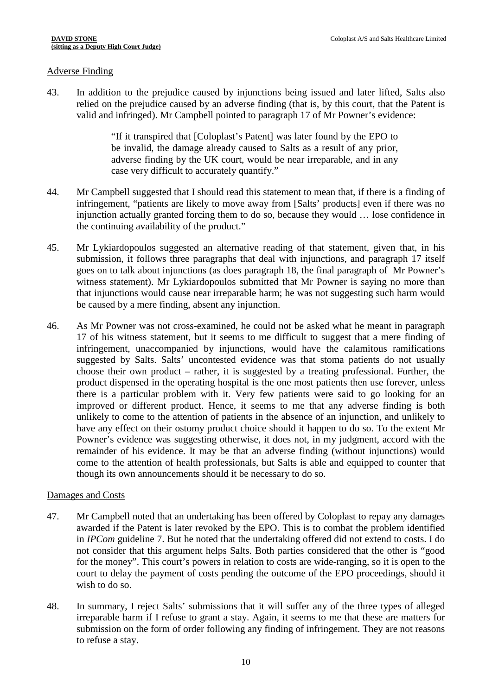### Adverse Finding

43. In addition to the prejudice caused by injunctions being issued and later lifted, Salts also relied on the prejudice caused by an adverse finding (that is, by this court, that the Patent is valid and infringed). Mr Campbell pointed to paragraph 17 of Mr Powner's evidence:

> "If it transpired that [Coloplast's Patent] was later found by the EPO to be invalid, the damage already caused to Salts as a result of any prior, adverse finding by the UK court, would be near irreparable, and in any case very difficult to accurately quantify."

- 44. Mr Campbell suggested that I should read this statement to mean that, if there is a finding of infringement, "patients are likely to move away from [Salts' products] even if there was no injunction actually granted forcing them to do so, because they would … lose confidence in the continuing availability of the product."
- 45. Mr Lykiardopoulos suggested an alternative reading of that statement, given that, in his submission, it follows three paragraphs that deal with injunctions, and paragraph 17 itself goes on to talk about injunctions (as does paragraph 18, the final paragraph of Mr Powner's witness statement). Mr Lykiardopoulos submitted that Mr Powner is saying no more than that injunctions would cause near irreparable harm; he was not suggesting such harm would be caused by a mere finding, absent any injunction.
- 46. As Mr Powner was not cross-examined, he could not be asked what he meant in paragraph 17 of his witness statement, but it seems to me difficult to suggest that a mere finding of infringement, unaccompanied by injunctions, would have the calamitous ramifications suggested by Salts. Salts' uncontested evidence was that stoma patients do not usually choose their own product – rather, it is suggested by a treating professional. Further, the product dispensed in the operating hospital is the one most patients then use forever, unless there is a particular problem with it. Very few patients were said to go looking for an improved or different product. Hence, it seems to me that any adverse finding is both unlikely to come to the attention of patients in the absence of an injunction, and unlikely to have any effect on their ostomy product choice should it happen to do so. To the extent Mr Powner's evidence was suggesting otherwise, it does not, in my judgment, accord with the remainder of his evidence. It may be that an adverse finding (without injunctions) would come to the attention of health professionals, but Salts is able and equipped to counter that though its own announcements should it be necessary to do so.

#### Damages and Costs

- 47. Mr Campbell noted that an undertaking has been offered by Coloplast to repay any damages awarded if the Patent is later revoked by the EPO. This is to combat the problem identified in *IPCom* guideline 7. But he noted that the undertaking offered did not extend to costs. I do not consider that this argument helps Salts. Both parties considered that the other is "good for the money". This court's powers in relation to costs are wide-ranging, so it is open to the court to delay the payment of costs pending the outcome of the EPO proceedings, should it wish to do so.
- 48. In summary, I reject Salts' submissions that it will suffer any of the three types of alleged irreparable harm if I refuse to grant a stay. Again, it seems to me that these are matters for submission on the form of order following any finding of infringement. They are not reasons to refuse a stay.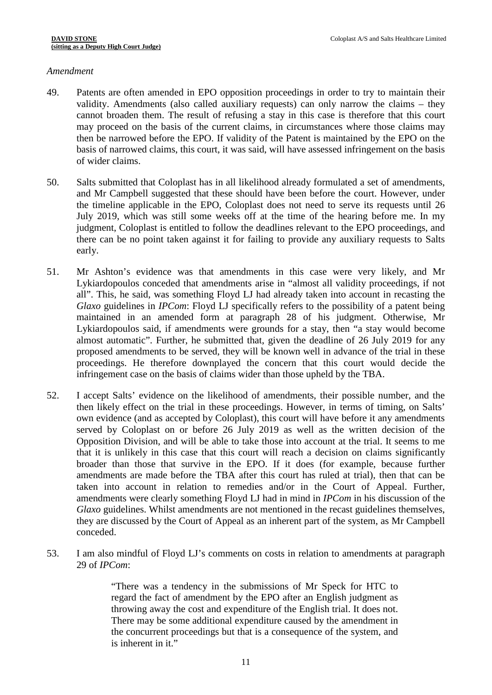#### *Amendment*

- 49. Patents are often amended in EPO opposition proceedings in order to try to maintain their validity. Amendments (also called auxiliary requests) can only narrow the claims – they cannot broaden them. The result of refusing a stay in this case is therefore that this court may proceed on the basis of the current claims, in circumstances where those claims may then be narrowed before the EPO. If validity of the Patent is maintained by the EPO on the basis of narrowed claims, this court, it was said, will have assessed infringement on the basis of wider claims.
- 50. Salts submitted that Coloplast has in all likelihood already formulated a set of amendments, and Mr Campbell suggested that these should have been before the court. However, under the timeline applicable in the EPO, Coloplast does not need to serve its requests until 26 July 2019, which was still some weeks off at the time of the hearing before me. In my judgment, Coloplast is entitled to follow the deadlines relevant to the EPO proceedings, and there can be no point taken against it for failing to provide any auxiliary requests to Salts early.
- 51. Mr Ashton's evidence was that amendments in this case were very likely, and Mr Lykiardopoulos conceded that amendments arise in "almost all validity proceedings, if not all". This, he said, was something Floyd LJ had already taken into account in recasting the *Glaxo* guidelines in *IPCom*: Floyd LJ specifically refers to the possibility of a patent being maintained in an amended form at paragraph 28 of his judgment. Otherwise, Mr Lykiardopoulos said, if amendments were grounds for a stay, then "a stay would become almost automatic". Further, he submitted that, given the deadline of 26 July 2019 for any proposed amendments to be served, they will be known well in advance of the trial in these proceedings. He therefore downplayed the concern that this court would decide the infringement case on the basis of claims wider than those upheld by the TBA.
- 52. I accept Salts' evidence on the likelihood of amendments, their possible number, and the then likely effect on the trial in these proceedings. However, in terms of timing, on Salts' own evidence (and as accepted by Coloplast), this court will have before it any amendments served by Coloplast on or before 26 July 2019 as well as the written decision of the Opposition Division, and will be able to take those into account at the trial. It seems to me that it is unlikely in this case that this court will reach a decision on claims significantly broader than those that survive in the EPO. If it does (for example, because further amendments are made before the TBA after this court has ruled at trial), then that can be taken into account in relation to remedies and/or in the Court of Appeal. Further, amendments were clearly something Floyd LJ had in mind in *IPCom* in his discussion of the *Glaxo* guidelines. Whilst amendments are not mentioned in the recast guidelines themselves, they are discussed by the Court of Appeal as an inherent part of the system, as Mr Campbell conceded.
- 53. I am also mindful of Floyd LJ's comments on costs in relation to amendments at paragraph 29 of *IPCom*:

"There was a tendency in the submissions of Mr Speck for HTC to regard the fact of amendment by the EPO after an English judgment as throwing away the cost and expenditure of the English trial. It does not. There may be some additional expenditure caused by the amendment in the concurrent proceedings but that is a consequence of the system, and is inherent in it."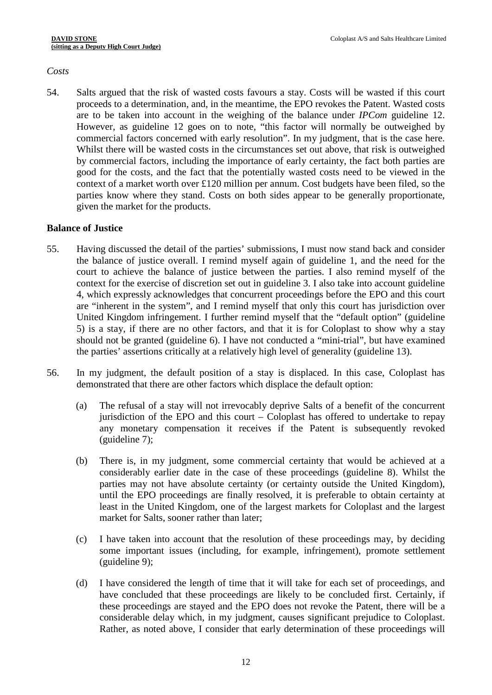#### *Costs*

54. Salts argued that the risk of wasted costs favours a stay. Costs will be wasted if this court proceeds to a determination, and, in the meantime, the EPO revokes the Patent. Wasted costs are to be taken into account in the weighing of the balance under *IPCom* guideline 12. However, as guideline 12 goes on to note, "this factor will normally be outweighed by commercial factors concerned with early resolution". In my judgment, that is the case here. Whilst there will be wasted costs in the circumstances set out above, that risk is outweighed by commercial factors, including the importance of early certainty, the fact both parties are good for the costs, and the fact that the potentially wasted costs need to be viewed in the context of a market worth over £120 million per annum. Cost budgets have been filed, so the parties know where they stand. Costs on both sides appear to be generally proportionate, given the market for the products.

### **Balance of Justice**

- 55. Having discussed the detail of the parties' submissions, I must now stand back and consider the balance of justice overall. I remind myself again of guideline 1, and the need for the court to achieve the balance of justice between the parties. I also remind myself of the context for the exercise of discretion set out in guideline 3. I also take into account guideline 4, which expressly acknowledges that concurrent proceedings before the EPO and this court are "inherent in the system", and I remind myself that only this court has jurisdiction over United Kingdom infringement. I further remind myself that the "default option" (guideline 5) is a stay, if there are no other factors, and that it is for Coloplast to show why a stay should not be granted (guideline 6). I have not conducted a "mini-trial", but have examined the parties' assertions critically at a relatively high level of generality (guideline 13).
- 56. In my judgment, the default position of a stay is displaced. In this case, Coloplast has demonstrated that there are other factors which displace the default option:
	- (a) The refusal of a stay will not irrevocably deprive Salts of a benefit of the concurrent jurisdiction of the EPO and this court – Coloplast has offered to undertake to repay any monetary compensation it receives if the Patent is subsequently revoked (guideline 7);
	- (b) There is, in my judgment, some commercial certainty that would be achieved at a considerably earlier date in the case of these proceedings (guideline 8). Whilst the parties may not have absolute certainty (or certainty outside the United Kingdom), until the EPO proceedings are finally resolved, it is preferable to obtain certainty at least in the United Kingdom, one of the largest markets for Coloplast and the largest market for Salts, sooner rather than later;
	- (c) I have taken into account that the resolution of these proceedings may, by deciding some important issues (including, for example, infringement), promote settlement (guideline 9);
	- (d) I have considered the length of time that it will take for each set of proceedings, and have concluded that these proceedings are likely to be concluded first. Certainly, if these proceedings are stayed and the EPO does not revoke the Patent, there will be a considerable delay which, in my judgment, causes significant prejudice to Coloplast. Rather, as noted above, I consider that early determination of these proceedings will